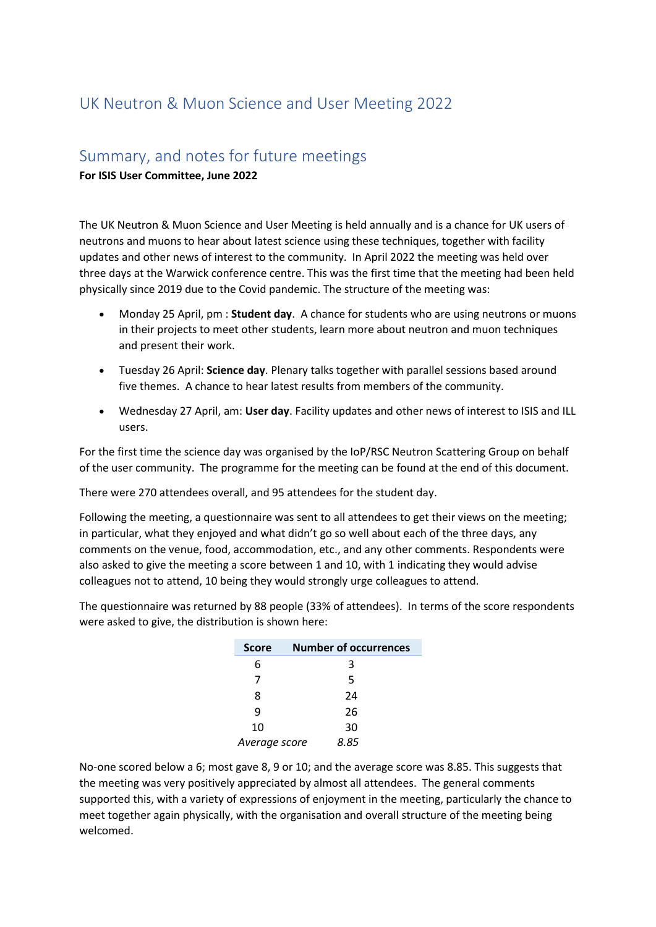## UK Neutron & Muon Science and User Meeting 2022

## Summary, and notes for future meetings

**For ISIS User Committee, June 2022**

The UK Neutron & Muon Science and User Meeting is held annually and is a chance for UK users of neutrons and muons to hear about latest science using these techniques, together with facility updates and other news of interest to the community. In April 2022 the meeting was held over three days at the Warwick conference centre. This was the first time that the meeting had been held physically since 2019 due to the Covid pandemic. The structure of the meeting was:

- Monday 25 April, pm : **Student day**. A chance for students who are using neutrons or muons in their projects to meet other students, learn more about neutron and muon techniques and present their work.
- Tuesday 26 April: **Science day**. Plenary talks together with parallel sessions based around five themes. A chance to hear latest results from members of the community.
- Wednesday 27 April, am: **User day**. Facility updates and other news of interest to ISIS and ILL users.

For the first time the science day was organised by the IoP/RSC Neutron Scattering Group on behalf of the user community. The programme for the meeting can be found at the end of this document.

There were 270 attendees overall, and 95 attendees for the student day.

Following the meeting, a questionnaire was sent to all attendees to get their views on the meeting; in particular, what they enjoyed and what didn't go so well about each of the three days, any comments on the venue, food, accommodation, etc., and any other comments. Respondents were also asked to give the meeting a score between 1 and 10, with 1 indicating they would advise colleagues not to attend, 10 being they would strongly urge colleagues to attend.

The questionnaire was returned by 88 people (33% of attendees). In terms of the score respondents were asked to give, the distribution is shown here:

| <b>Score</b>  | <b>Number of occurrences</b> |
|---------------|------------------------------|
| 6             | 3                            |
| 7             | 5                            |
| 8             | 24                           |
| q             | 26                           |
| 10            | 30                           |
| Average score | 8.85                         |

No-one scored below a 6; most gave 8, 9 or 10; and the average score was 8.85. This suggests that the meeting was very positively appreciated by almost all attendees. The general comments supported this, with a variety of expressions of enjoyment in the meeting, particularly the chance to meet together again physically, with the organisation and overall structure of the meeting being welcomed.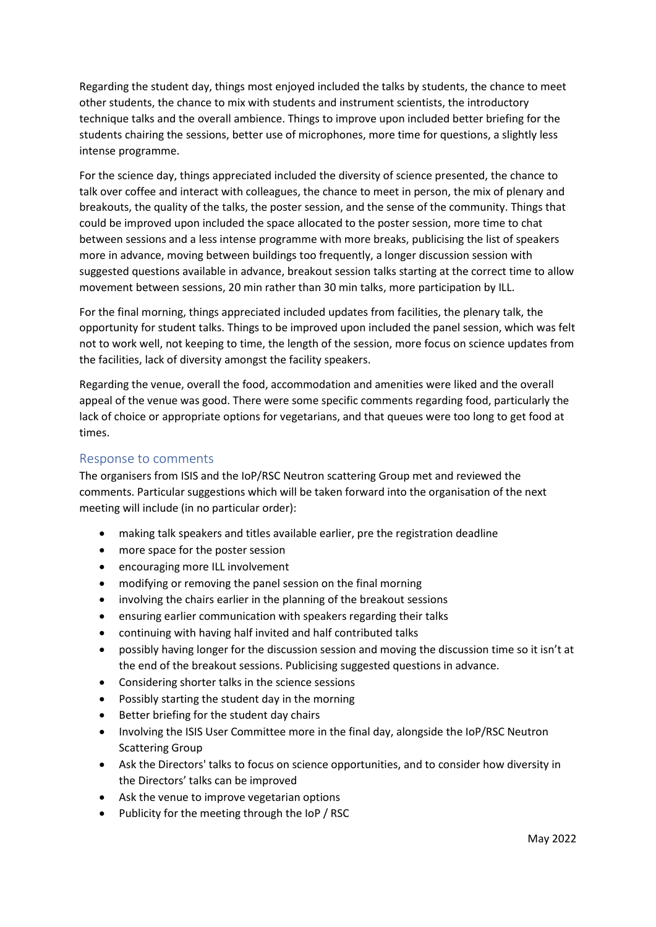Regarding the student day, things most enjoyed included the talks by students, the chance to meet other students, the chance to mix with students and instrument scientists, the introductory technique talks and the overall ambience. Things to improve upon included better briefing for the students chairing the sessions, better use of microphones, more time for questions, a slightly less intense programme.

For the science day, things appreciated included the diversity of science presented, the chance to talk over coffee and interact with colleagues, the chance to meet in person, the mix of plenary and breakouts, the quality of the talks, the poster session, and the sense of the community. Things that could be improved upon included the space allocated to the poster session, more time to chat between sessions and a less intense programme with more breaks, publicising the list of speakers more in advance, moving between buildings too frequently, a longer discussion session with suggested questions available in advance, breakout session talks starting at the correct time to allow movement between sessions, 20 min rather than 30 min talks, more participation by ILL.

For the final morning, things appreciated included updates from facilities, the plenary talk, the opportunity for student talks. Things to be improved upon included the panel session, which was felt not to work well, not keeping to time, the length of the session, more focus on science updates from the facilities, lack of diversity amongst the facility speakers.

Regarding the venue, overall the food, accommodation and amenities were liked and the overall appeal of the venue was good. There were some specific comments regarding food, particularly the lack of choice or appropriate options for vegetarians, and that queues were too long to get food at times.

## Response to comments

The organisers from ISIS and the IoP/RSC Neutron scattering Group met and reviewed the comments. Particular suggestions which will be taken forward into the organisation of the next meeting will include (in no particular order):

- making talk speakers and titles available earlier, pre the registration deadline
- more space for the poster session
- encouraging more ILL involvement
- modifying or removing the panel session on the final morning
- involving the chairs earlier in the planning of the breakout sessions
- ensuring earlier communication with speakers regarding their talks
- continuing with having half invited and half contributed talks
- possibly having longer for the discussion session and moving the discussion time so it isn't at the end of the breakout sessions. Publicising suggested questions in advance.
- Considering shorter talks in the science sessions
- Possibly starting the student day in the morning
- Better briefing for the student day chairs
- Involving the ISIS User Committee more in the final day, alongside the IoP/RSC Neutron Scattering Group
- Ask the Directors' talks to focus on science opportunities, and to consider how diversity in the Directors' talks can be improved
- Ask the venue to improve vegetarian options
- Publicity for the meeting through the IoP / RSC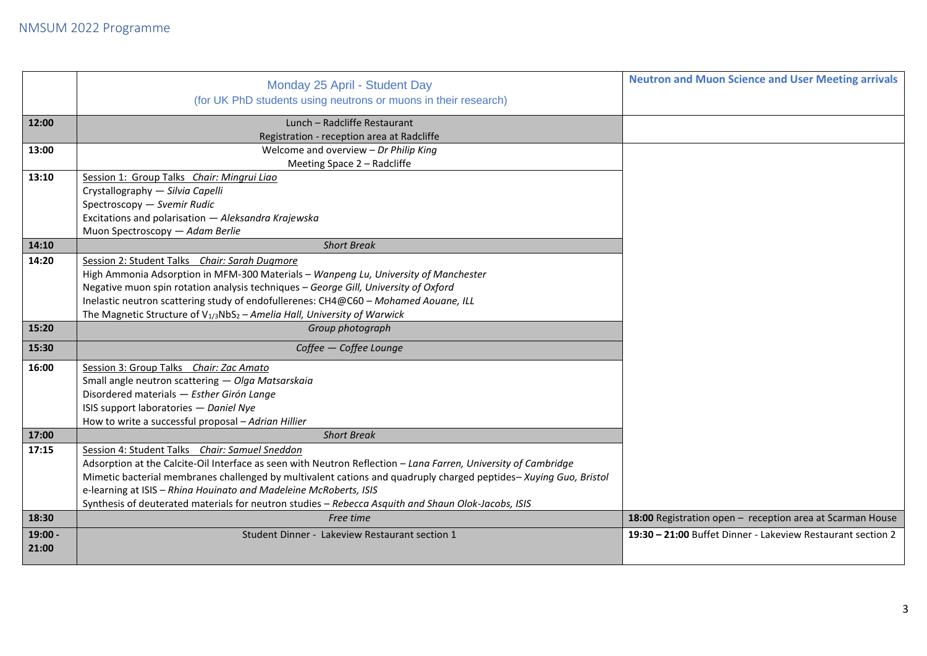|           | Monday 25 April - Student Day                                                                                    | <b>Neutron and Muon Science and User Meeting arrivals</b>   |
|-----------|------------------------------------------------------------------------------------------------------------------|-------------------------------------------------------------|
|           | (for UK PhD students using neutrons or muons in their research)                                                  |                                                             |
| 12:00     | Lunch - Radcliffe Restaurant                                                                                     |                                                             |
|           | Registration - reception area at Radcliffe                                                                       |                                                             |
| 13:00     | Welcome and overview - Dr Philip King                                                                            |                                                             |
|           | Meeting Space 2 - Radcliffe                                                                                      |                                                             |
| 13:10     | Session 1: Group Talks Chair: Mingrui Liao                                                                       |                                                             |
|           | Crystallography - Silvia Capelli                                                                                 |                                                             |
|           | Spectroscopy - Svemir Rudic                                                                                      |                                                             |
|           | Excitations and polarisation - Aleksandra Krajewska                                                              |                                                             |
|           | Muon Spectroscopy - Adam Berlie                                                                                  |                                                             |
| 14:10     | <b>Short Break</b>                                                                                               |                                                             |
| 14:20     | Session 2: Student Talks Chair: Sarah Dugmore                                                                    |                                                             |
|           | High Ammonia Adsorption in MFM-300 Materials - Wanpeng Lu, University of Manchester                              |                                                             |
|           | Negative muon spin rotation analysis techniques - George Gill, University of Oxford                              |                                                             |
|           | Inelastic neutron scattering study of endofullerenes: CH4@C60 - Mohamed Aouane, ILL                              |                                                             |
|           | The Magnetic Structure of $V_{1/3}NbS_2 - Amelia Hall$ , University of Warwick                                   |                                                             |
| 15:20     | Group photograph                                                                                                 |                                                             |
| 15:30     | Coffee - Coffee Lounge                                                                                           |                                                             |
| 16:00     | Session 3: Group Talks Chair: Zac Amato                                                                          |                                                             |
|           | Small angle neutron scattering - Olga Matsarskaia                                                                |                                                             |
|           | Disordered materials - Esther Girón Lange                                                                        |                                                             |
|           | ISIS support laboratories - Daniel Nye                                                                           |                                                             |
|           |                                                                                                                  |                                                             |
|           | How to write a successful proposal - Adrian Hillier                                                              |                                                             |
| 17:00     | <b>Short Break</b>                                                                                               |                                                             |
| 17:15     | Session 4: Student Talks Chair: Samuel Sneddon                                                                   |                                                             |
|           | Adsorption at the Calcite-Oil Interface as seen with Neutron Reflection - Lana Farren, University of Cambridge   |                                                             |
|           | Mimetic bacterial membranes challenged by multivalent cations and quadruply charged peptides-Xuying Guo, Bristol |                                                             |
|           | e-learning at ISIS - Rhina Houinato and Madeleine McRoberts, ISIS                                                |                                                             |
|           | Synthesis of deuterated materials for neutron studies - Rebecca Asquith and Shaun Olok-Jacobs, ISIS              |                                                             |
| 18:30     | Free time                                                                                                        | 18:00 Registration open - reception area at Scarman House   |
| $19:00 -$ | Student Dinner - Lakeview Restaurant section 1                                                                   | 19:30 - 21:00 Buffet Dinner - Lakeview Restaurant section 2 |
| 21:00     |                                                                                                                  |                                                             |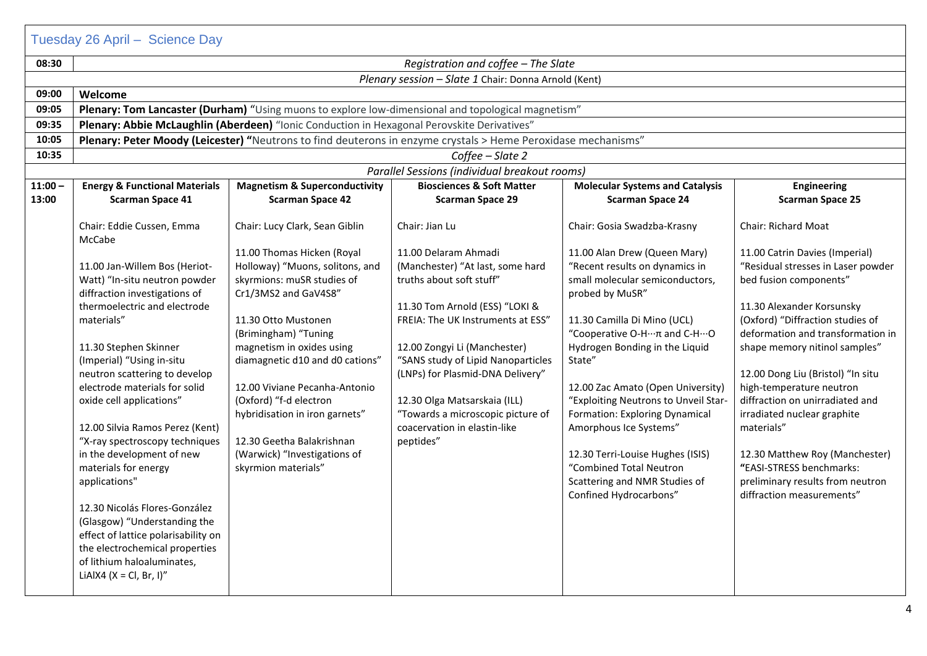|           | Tuesday 26 April - Science Day                                                                                                                                                                                                                                                                                                                                                                                                                                                                                                                                                                                                                      |                                                                                                                                                                                                                                                                                                                                                                                                                     |                                                                                                                                                                                                                                                                                                                                                                                         |                                                                                                                                                                                                                                                                                                                                                                                                                                                                                                    |                                                                                                                                                                                                                                                                                                                                                                                                                                                                                                                       |
|-----------|-----------------------------------------------------------------------------------------------------------------------------------------------------------------------------------------------------------------------------------------------------------------------------------------------------------------------------------------------------------------------------------------------------------------------------------------------------------------------------------------------------------------------------------------------------------------------------------------------------------------------------------------------------|---------------------------------------------------------------------------------------------------------------------------------------------------------------------------------------------------------------------------------------------------------------------------------------------------------------------------------------------------------------------------------------------------------------------|-----------------------------------------------------------------------------------------------------------------------------------------------------------------------------------------------------------------------------------------------------------------------------------------------------------------------------------------------------------------------------------------|----------------------------------------------------------------------------------------------------------------------------------------------------------------------------------------------------------------------------------------------------------------------------------------------------------------------------------------------------------------------------------------------------------------------------------------------------------------------------------------------------|-----------------------------------------------------------------------------------------------------------------------------------------------------------------------------------------------------------------------------------------------------------------------------------------------------------------------------------------------------------------------------------------------------------------------------------------------------------------------------------------------------------------------|
| 08:30     | Registration and coffee - The Slate                                                                                                                                                                                                                                                                                                                                                                                                                                                                                                                                                                                                                 |                                                                                                                                                                                                                                                                                                                                                                                                                     |                                                                                                                                                                                                                                                                                                                                                                                         |                                                                                                                                                                                                                                                                                                                                                                                                                                                                                                    |                                                                                                                                                                                                                                                                                                                                                                                                                                                                                                                       |
|           |                                                                                                                                                                                                                                                                                                                                                                                                                                                                                                                                                                                                                                                     |                                                                                                                                                                                                                                                                                                                                                                                                                     | Plenary session - Slate 1 Chair: Donna Arnold (Kent)                                                                                                                                                                                                                                                                                                                                    |                                                                                                                                                                                                                                                                                                                                                                                                                                                                                                    |                                                                                                                                                                                                                                                                                                                                                                                                                                                                                                                       |
| 09:00     | Welcome                                                                                                                                                                                                                                                                                                                                                                                                                                                                                                                                                                                                                                             |                                                                                                                                                                                                                                                                                                                                                                                                                     |                                                                                                                                                                                                                                                                                                                                                                                         |                                                                                                                                                                                                                                                                                                                                                                                                                                                                                                    |                                                                                                                                                                                                                                                                                                                                                                                                                                                                                                                       |
| 09:05     |                                                                                                                                                                                                                                                                                                                                                                                                                                                                                                                                                                                                                                                     |                                                                                                                                                                                                                                                                                                                                                                                                                     | Plenary: Tom Lancaster (Durham) "Using muons to explore low-dimensional and topological magnetism"                                                                                                                                                                                                                                                                                      |                                                                                                                                                                                                                                                                                                                                                                                                                                                                                                    |                                                                                                                                                                                                                                                                                                                                                                                                                                                                                                                       |
| 09:35     |                                                                                                                                                                                                                                                                                                                                                                                                                                                                                                                                                                                                                                                     | Plenary: Abbie McLaughlin (Aberdeen) "Ionic Conduction in Hexagonal Perovskite Derivatives"                                                                                                                                                                                                                                                                                                                         |                                                                                                                                                                                                                                                                                                                                                                                         |                                                                                                                                                                                                                                                                                                                                                                                                                                                                                                    |                                                                                                                                                                                                                                                                                                                                                                                                                                                                                                                       |
| 10:05     |                                                                                                                                                                                                                                                                                                                                                                                                                                                                                                                                                                                                                                                     |                                                                                                                                                                                                                                                                                                                                                                                                                     | Plenary: Peter Moody (Leicester) "Neutrons to find deuterons in enzyme crystals > Heme Peroxidase mechanisms"                                                                                                                                                                                                                                                                           |                                                                                                                                                                                                                                                                                                                                                                                                                                                                                                    |                                                                                                                                                                                                                                                                                                                                                                                                                                                                                                                       |
| 10:35     | Coffee - Slate 2                                                                                                                                                                                                                                                                                                                                                                                                                                                                                                                                                                                                                                    |                                                                                                                                                                                                                                                                                                                                                                                                                     |                                                                                                                                                                                                                                                                                                                                                                                         |                                                                                                                                                                                                                                                                                                                                                                                                                                                                                                    |                                                                                                                                                                                                                                                                                                                                                                                                                                                                                                                       |
|           |                                                                                                                                                                                                                                                                                                                                                                                                                                                                                                                                                                                                                                                     |                                                                                                                                                                                                                                                                                                                                                                                                                     | Parallel Sessions (individual breakout rooms)                                                                                                                                                                                                                                                                                                                                           |                                                                                                                                                                                                                                                                                                                                                                                                                                                                                                    |                                                                                                                                                                                                                                                                                                                                                                                                                                                                                                                       |
| $11:00 -$ | <b>Energy &amp; Functional Materials</b>                                                                                                                                                                                                                                                                                                                                                                                                                                                                                                                                                                                                            | <b>Magnetism &amp; Superconductivity</b>                                                                                                                                                                                                                                                                                                                                                                            | <b>Biosciences &amp; Soft Matter</b>                                                                                                                                                                                                                                                                                                                                                    | <b>Molecular Systems and Catalysis</b>                                                                                                                                                                                                                                                                                                                                                                                                                                                             | <b>Engineering</b>                                                                                                                                                                                                                                                                                                                                                                                                                                                                                                    |
| 13:00     | <b>Scarman Space 41</b>                                                                                                                                                                                                                                                                                                                                                                                                                                                                                                                                                                                                                             | <b>Scarman Space 42</b>                                                                                                                                                                                                                                                                                                                                                                                             | <b>Scarman Space 29</b>                                                                                                                                                                                                                                                                                                                                                                 | <b>Scarman Space 24</b>                                                                                                                                                                                                                                                                                                                                                                                                                                                                            | <b>Scarman Space 25</b>                                                                                                                                                                                                                                                                                                                                                                                                                                                                                               |
|           | Chair: Eddie Cussen, Emma<br>McCabe                                                                                                                                                                                                                                                                                                                                                                                                                                                                                                                                                                                                                 | Chair: Lucy Clark, Sean Giblin                                                                                                                                                                                                                                                                                                                                                                                      | Chair: Jian Lu                                                                                                                                                                                                                                                                                                                                                                          | Chair: Gosia Swadzba-Krasny                                                                                                                                                                                                                                                                                                                                                                                                                                                                        | Chair: Richard Moat                                                                                                                                                                                                                                                                                                                                                                                                                                                                                                   |
|           | 11.00 Jan-Willem Bos (Heriot-<br>Watt) "In-situ neutron powder<br>diffraction investigations of<br>thermoelectric and electrode<br>materials"<br>11.30 Stephen Skinner<br>(Imperial) "Using in-situ<br>neutron scattering to develop<br>electrode materials for solid<br>oxide cell applications"<br>12.00 Silvia Ramos Perez (Kent)<br>"X-ray spectroscopy techniques<br>in the development of new<br>materials for energy<br>applications"<br>12.30 Nicolás Flores-González<br>(Glasgow) "Understanding the<br>effect of lattice polarisability on<br>the electrochemical properties<br>of lithium haloaluminates,<br>LiAlX4 ( $X = Cl$ , Br, I)" | 11.00 Thomas Hicken (Royal<br>Holloway) "Muons, solitons, and<br>skyrmions: muSR studies of<br>Cr1/3MS2 and GaV4S8"<br>11.30 Otto Mustonen<br>(Brimingham) "Tuning<br>magnetism in oxides using<br>diamagnetic d10 and d0 cations"<br>12.00 Viviane Pecanha-Antonio<br>(Oxford) "f-d electron<br>hybridisation in iron garnets"<br>12.30 Geetha Balakrishnan<br>(Warwick) "Investigations of<br>skyrmion materials" | 11.00 Delaram Ahmadi<br>(Manchester) "At last, some hard<br>truths about soft stuff"<br>11.30 Tom Arnold (ESS) "LOKI &<br>FREIA: The UK Instruments at ESS"<br>12.00 Zongyi Li (Manchester)<br>"SANS study of Lipid Nanoparticles<br>(LNPs) for Plasmid-DNA Delivery"<br>12.30 Olga Matsarskaia (ILL)<br>"Towards a microscopic picture of<br>coacervation in elastin-like<br>peptides" | 11.00 Alan Drew (Queen Mary)<br>"Recent results on dynamics in<br>small molecular semiconductors,<br>probed by MuSR"<br>11.30 Camilla Di Mino (UCL)<br>"Cooperative O-H…π and C-H…O<br>Hydrogen Bonding in the Liquid<br>State"<br>12.00 Zac Amato (Open University)<br>"Exploiting Neutrons to Unveil Star-<br>Formation: Exploring Dynamical<br>Amorphous Ice Systems"<br>12.30 Terri-Louise Hughes (ISIS)<br>"Combined Total Neutron<br>Scattering and NMR Studies of<br>Confined Hydrocarbons" | 11.00 Catrin Davies (Imperial)<br>"Residual stresses in Laser powder<br>bed fusion components"<br>11.30 Alexander Korsunsky<br>(Oxford) "Diffraction studies of<br>deformation and transformation in<br>shape memory nitinol samples"<br>12.00 Dong Liu (Bristol) "In situ<br>high-temperature neutron<br>diffraction on unirradiated and<br>irradiated nuclear graphite<br>materials"<br>12.30 Matthew Roy (Manchester)<br>"EASI-STRESS benchmarks:<br>preliminary results from neutron<br>diffraction measurements" |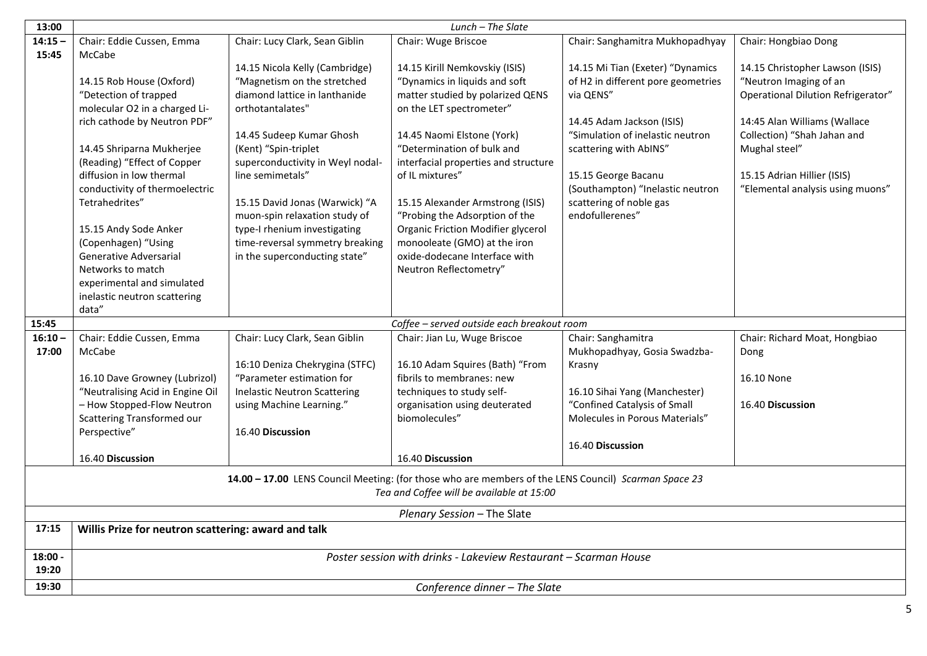| 13:00     | Lunch - The Slate                                   |                                     |                                                                                                      |                                    |                                    |
|-----------|-----------------------------------------------------|-------------------------------------|------------------------------------------------------------------------------------------------------|------------------------------------|------------------------------------|
| $14:15 -$ | Chair: Eddie Cussen, Emma                           | Chair: Lucy Clark, Sean Giblin      | Chair: Wuge Briscoe                                                                                  | Chair: Sanghamitra Mukhopadhyay    | Chair: Hongbiao Dong               |
| 15:45     | McCabe                                              |                                     |                                                                                                      |                                    |                                    |
|           |                                                     | 14.15 Nicola Kelly (Cambridge)      | 14.15 Kirill Nemkovskiy (ISIS)                                                                       | 14.15 Mi Tian (Exeter) "Dynamics   | 14.15 Christopher Lawson (ISIS)    |
|           | 14.15 Rob House (Oxford)                            | "Magnetism on the stretched         | "Dynamics in liquids and soft                                                                        | of H2 in different pore geometries | "Neutron Imaging of an             |
|           | "Detection of trapped                               | diamond lattice in lanthanide       | matter studied by polarized QENS                                                                     | via QENS"                          | Operational Dilution Refrigerator" |
|           | molecular O2 in a charged Li-                       | orthotantalates"                    | on the LET spectrometer"                                                                             |                                    |                                    |
|           | rich cathode by Neutron PDF"                        |                                     |                                                                                                      | 14.45 Adam Jackson (ISIS)          | 14:45 Alan Williams (Wallace       |
|           |                                                     | 14.45 Sudeep Kumar Ghosh            | 14.45 Naomi Elstone (York)                                                                           | "Simulation of inelastic neutron   | Collection) "Shah Jahan and        |
|           | 14.45 Shriparna Mukherjee                           | (Kent) "Spin-triplet                | "Determination of bulk and                                                                           | scattering with AbINS"             | Mughal steel"                      |
|           | (Reading) "Effect of Copper                         | superconductivity in Weyl nodal-    | interfacial properties and structure                                                                 |                                    |                                    |
|           | diffusion in low thermal                            | line semimetals"                    | of IL mixtures"                                                                                      | 15.15 George Bacanu                | 15.15 Adrian Hillier (ISIS)        |
|           | conductivity of thermoelectric                      |                                     |                                                                                                      | (Southampton) "Inelastic neutron   | "Elemental analysis using muons"   |
|           | Tetrahedrites"                                      | 15.15 David Jonas (Warwick) "A      | 15.15 Alexander Armstrong (ISIS)                                                                     | scattering of noble gas            |                                    |
|           |                                                     | muon-spin relaxation study of       | "Probing the Adsorption of the                                                                       | endofullerenes"                    |                                    |
|           | 15.15 Andy Sode Anker                               | type-I rhenium investigating        | <b>Organic Friction Modifier glycerol</b>                                                            |                                    |                                    |
|           | (Copenhagen) "Using                                 | time-reversal symmetry breaking     | monooleate (GMO) at the iron                                                                         |                                    |                                    |
|           | Generative Adversarial                              | in the superconducting state"       | oxide-dodecane Interface with                                                                        |                                    |                                    |
|           | Networks to match                                   |                                     | Neutron Reflectometry"                                                                               |                                    |                                    |
|           | experimental and simulated                          |                                     |                                                                                                      |                                    |                                    |
|           | inelastic neutron scattering                        |                                     |                                                                                                      |                                    |                                    |
|           | data"                                               |                                     |                                                                                                      |                                    |                                    |
| 15:45     |                                                     |                                     | Coffee - served outside each breakout room                                                           |                                    |                                    |
| $16:10 -$ | Chair: Eddie Cussen, Emma                           | Chair: Lucy Clark, Sean Giblin      | Chair: Jian Lu, Wuge Briscoe                                                                         | Chair: Sanghamitra                 | Chair: Richard Moat, Hongbiao      |
| 17:00     | McCabe                                              |                                     |                                                                                                      | Mukhopadhyay, Gosia Swadzba-       | Dong                               |
|           |                                                     | 16:10 Deniza Chekrygina (STFC)      | 16.10 Adam Squires (Bath) "From                                                                      | Krasny                             |                                    |
|           | 16.10 Dave Growney (Lubrizol)                       | "Parameter estimation for           | fibrils to membranes: new                                                                            |                                    | 16.10 None                         |
|           | "Neutralising Acid in Engine Oil                    | <b>Inelastic Neutron Scattering</b> | techniques to study self-                                                                            | 16.10 Sihai Yang (Manchester)      |                                    |
|           | - How Stopped-Flow Neutron                          | using Machine Learning."            | organisation using deuterated                                                                        | "Confined Catalysis of Small       | 16.40 Discussion                   |
|           | Scattering Transformed our                          |                                     | biomolecules"                                                                                        | Molecules in Porous Materials"     |                                    |
|           | Perspective"                                        | 16.40 Discussion                    |                                                                                                      |                                    |                                    |
|           |                                                     |                                     |                                                                                                      | 16.40 Discussion                   |                                    |
|           | 16.40 Discussion                                    |                                     | 16.40 Discussion                                                                                     |                                    |                                    |
|           |                                                     |                                     | 14.00 - 17.00 LENS Council Meeting: (for those who are members of the LENS Council) Scarman Space 23 |                                    |                                    |
|           |                                                     |                                     | Tea and Coffee will be available at 15:00                                                            |                                    |                                    |
|           |                                                     |                                     |                                                                                                      |                                    |                                    |
|           |                                                     |                                     | Plenary Session - The Slate                                                                          |                                    |                                    |
| 17:15     | Willis Prize for neutron scattering: award and talk |                                     |                                                                                                      |                                    |                                    |
|           |                                                     |                                     |                                                                                                      |                                    |                                    |
| 18:00 -   |                                                     |                                     | Poster session with drinks - Lakeview Restaurant - Scarman House                                     |                                    |                                    |
| 19:20     |                                                     |                                     |                                                                                                      |                                    |                                    |
| 19:30     |                                                     |                                     | Conference dinner - The Slate                                                                        |                                    |                                    |
|           |                                                     |                                     |                                                                                                      |                                    |                                    |